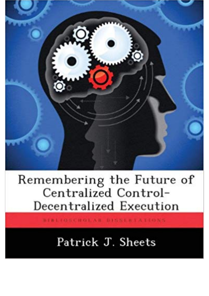

## Remembering the Future of<br>Centralized Control-Decentralized Execution

BIBLIOSCHOLAR BISSIBTATIONS

## Patrick J. Sheets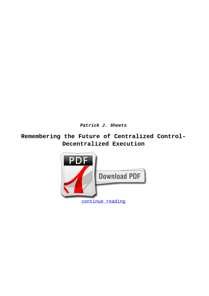**Patrick J. Sheets**

**Remembering the Future of Centralized Control-Decentralized Execution**

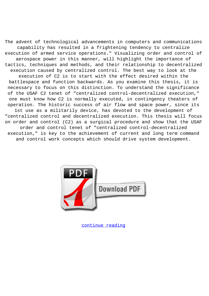The advent of technological advancements in computers and communications capability has resulted in a frightening tendency to centralize execution of armed service operations." Visualizing order and control of aerospace power in this manner, will highlight the importance of tactics, techniques and methods, and their relationship to decentralized execution caused by centralized control. The best way to look at the execution of C2 is to start with the effect desired within the battlespace and function backwards. As you examine this thesis, it is necessary to focus on this distinction. To understand the significance of the USAF C2 tenet of "centralized control-decentralized execution," one must know how C2 is normally executed, in contingency theaters of operation. The historic success of air flow and space power, since its 1st use as a militarily device, has devoted to the development of "centralized control and decentralized execution. This thesis will focus on order and control (C2) as a surgical procedure and show that the USAF order and control tenet of "centralized control-decentralized execution," is key to the achievement of current and long term command and control work concepts which should drive system development.



[continue reading](http://bit.ly/2Tge8Fv)